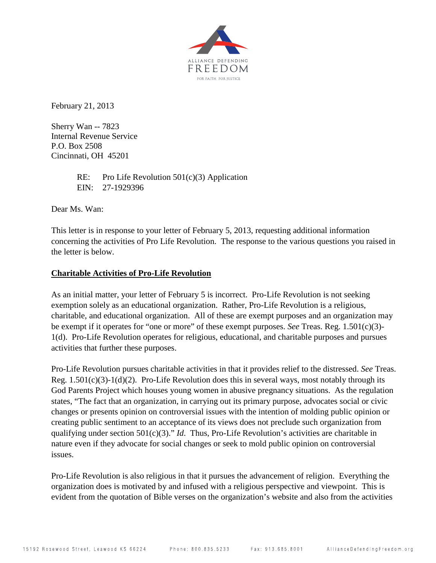

February 21, 2013

Sherry Wan -- 7823 Internal Revenue Service P.O. Box 2508 Cincinnati, OH 45201

> RE: Pro Life Revolution  $501(c)(3)$  Application EIN: 27-1929396

Dear Ms. Wan:

This letter is in response to your letter of February 5, 2013, requesting additional information concerning the activities of Pro Life Revolution. The response to the various questions you raised in the letter is below.

## **Charitable Activities of Pro-Life Revolution**

As an initial matter, your letter of February 5 is incorrect. Pro-Life Revolution is not seeking exemption solely as an educational organization. Rather, Pro-Life Revolution is a religious, charitable, and educational organization. All of these are exempt purposes and an organization may be exempt if it operates for "one or more" of these exempt purposes. *See* Treas. Reg. 1.501(c)(3)- 1(d). Pro-Life Revolution operates for religious, educational, and charitable purposes and pursues activities that further these purposes.

Pro-Life Revolution pursues charitable activities in that it provides relief to the distressed. *See* Treas. Reg. 1.501(c)(3)-1(d)(2). Pro-Life Revolution does this in several ways, most notably through its God Parents Project which houses young women in abusive pregnancy situations. As the regulation states, "The fact that an organization, in carrying out its primary purpose, advocates social or civic changes or presents opinion on controversial issues with the intention of molding public opinion or creating public sentiment to an acceptance of its views does not preclude such organization from qualifying under section 501(c)(3)." *Id*. Thus, Pro-Life Revolution's activities are charitable in nature even if they advocate for social changes or seek to mold public opinion on controversial issues.

Pro-Life Revolution is also religious in that it pursues the advancement of religion. Everything the organization does is motivated by and infused with a religious perspective and viewpoint. This is evident from the quotation of Bible verses on the organization's website and also from the activities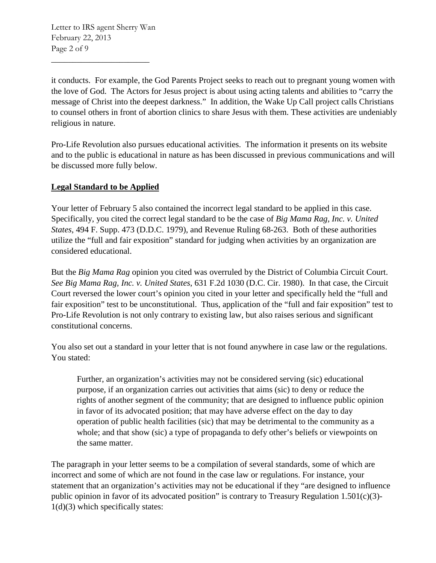Letter to IRS agent Sherry Wan February 22, 2013 Page 2 of 9

 $\overline{\phantom{a}}$  , where  $\overline{\phantom{a}}$  , where  $\overline{\phantom{a}}$  , where  $\overline{\phantom{a}}$ 

it conducts. For example, the God Parents Project seeks to reach out to pregnant young women with the love of God. The Actors for Jesus project is about using acting talents and abilities to "carry the message of Christ into the deepest darkness." In addition, the Wake Up Call project calls Christians to counsel others in front of abortion clinics to share Jesus with them. These activities are undeniably religious in nature.

Pro-Life Revolution also pursues educational activities. The information it presents on its website and to the public is educational in nature as has been discussed in previous communications and will be discussed more fully below.

## **Legal Standard to be Applied**

Your letter of February 5 also contained the incorrect legal standard to be applied in this case. Specifically, you cited the correct legal standard to be the case of *Big Mama Rag, Inc. v. United States*, 494 F. Supp. 473 (D.D.C. 1979), and Revenue Ruling 68-263. Both of these authorities utilize the "full and fair exposition" standard for judging when activities by an organization are considered educational.

But the *Big Mama Rag* opinion you cited was overruled by the District of Columbia Circuit Court. *See Big Mama Rag, Inc. v. United States*, 631 F.2d 1030 (D.C. Cir. 1980). In that case, the Circuit Court reversed the lower court's opinion you cited in your letter and specifically held the "full and fair exposition" test to be unconstitutional. Thus, application of the "full and fair exposition" test to Pro-Life Revolution is not only contrary to existing law, but also raises serious and significant constitutional concerns.

You also set out a standard in your letter that is not found anywhere in case law or the regulations. You stated:

Further, an organization's activities may not be considered serving (sic) educational purpose, if an organization carries out activities that aims (sic) to deny or reduce the rights of another segment of the community; that are designed to influence public opinion in favor of its advocated position; that may have adverse effect on the day to day operation of public health facilities (sic) that may be detrimental to the community as a whole; and that show (sic) a type of propaganda to defy other's beliefs or viewpoints on the same matter.

The paragraph in your letter seems to be a compilation of several standards, some of which are incorrect and some of which are not found in the case law or regulations. For instance, your statement that an organization's activities may not be educational if they "are designed to influence public opinion in favor of its advocated position" is contrary to Treasury Regulation  $1.501(c)(3)$ -1(d)(3) which specifically states: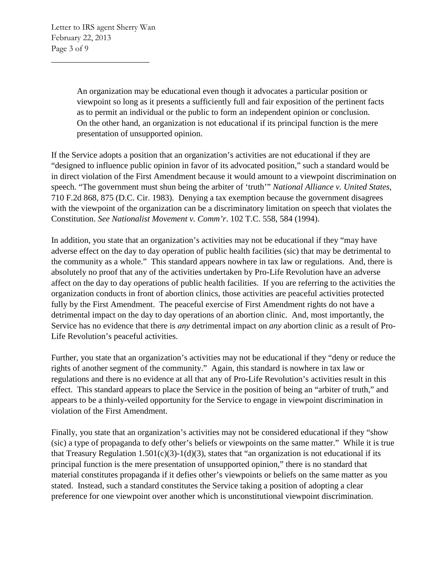An organization may be educational even though it advocates a particular position or viewpoint so long as it presents a sufficiently full and fair exposition of the pertinent facts as to permit an individual or the public to form an independent opinion or conclusion. On the other hand, an organization is not educational if its principal function is the mere presentation of unsupported opinion.

If the Service adopts a position that an organization's activities are not educational if they are "designed to influence public opinion in favor of its advocated position," such a standard would be in direct violation of the First Amendment because it would amount to a viewpoint discrimination on speech. "The government must shun being the arbiter of 'truth'" *National Alliance v. United States*, 710 F.2d 868, 875 (D.C. Cir. 1983). Denying a tax exemption because the government disagrees with the viewpoint of the organization can be a discriminatory limitation on speech that violates the Constitution. *See Nationalist Movement v. Comm'r*. 102 T.C. 558, 584 (1994).

In addition, you state that an organization's activities may not be educational if they "may have adverse effect on the day to day operation of public health facilities (sic) that may be detrimental to the community as a whole." This standard appears nowhere in tax law or regulations. And, there is absolutely no proof that any of the activities undertaken by Pro-Life Revolution have an adverse affect on the day to day operations of public health facilities. If you are referring to the activities the organization conducts in front of abortion clinics, those activities are peaceful activities protected fully by the First Amendment. The peaceful exercise of First Amendment rights do not have a detrimental impact on the day to day operations of an abortion clinic. And, most importantly, the Service has no evidence that there is *any* detrimental impact on *any* abortion clinic as a result of Pro-Life Revolution's peaceful activities.

Further, you state that an organization's activities may not be educational if they "deny or reduce the rights of another segment of the community." Again, this standard is nowhere in tax law or regulations and there is no evidence at all that any of Pro-Life Revolution's activities result in this effect. This standard appears to place the Service in the position of being an "arbiter of truth," and appears to be a thinly-veiled opportunity for the Service to engage in viewpoint discrimination in violation of the First Amendment.

Finally, you state that an organization's activities may not be considered educational if they "show (sic) a type of propaganda to defy other's beliefs or viewpoints on the same matter." While it is true that Treasury Regulation 1.501(c)(3)-1(d)(3), states that "an organization is not educational if its principal function is the mere presentation of unsupported opinion," there is no standard that material constitutes propaganda if it defies other's viewpoints or beliefs on the same matter as you stated. Instead, such a standard constitutes the Service taking a position of adopting a clear preference for one viewpoint over another which is unconstitutional viewpoint discrimination.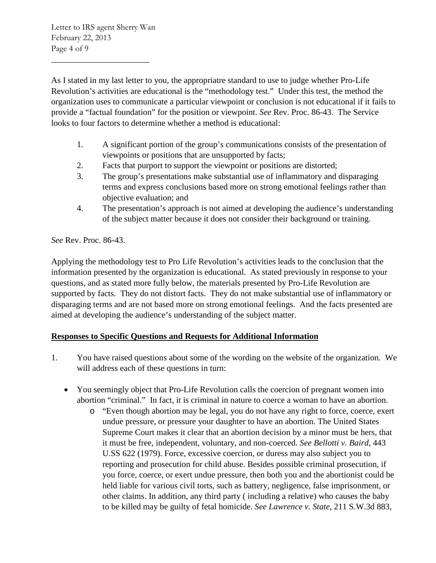Letter to IRS agent Sherry Wan February 22, 2013 Page 4 of 9

 $\overline{\phantom{a}}$  , where  $\overline{\phantom{a}}$  , where  $\overline{\phantom{a}}$  , where  $\overline{\phantom{a}}$ 

As I stated in my last letter to you, the appropriatre standard to use to judge whether Pro-Life Revolution's activities are educational is the "methodology test." Under this test, the method the organization uses to communicate a particular viewpoint or conclusion is not educational if it fails to provide a "factual foundation" for the position or viewpoint. *See* Rev. Proc. 86-43. The Service looks to four factors to determine whether a method is educational:

- 1. A significant portion of the group's communications consists of the presentation of viewpoints or positions that are unsupported by facts;
- 2. Facts that purport to support the viewpoint or positions are distorted;
- 3. The group's presentations make substantial use of inflammatory and disparaging terms and express conclusions based more on strong emotional feelings rather than objective evaluation; and
- 4. The presentation's approach is not aimed at developing the audience's understanding of the subject matter because it does not consider their background or training.

*See* Rev. Proc. 86-43.

Applying the methodology test to Pro Life Revolution's activities leads to the conclusion that the information presented by the organization is educational. As stated previously in response to your questions, and as stated more fully below, the materials presented by Pro-Life Revolution are supported by facts. They do not distort facts. They do not make substantial use of inflammatory or disparaging terms and are not based more on strong emotional feelings. And the facts presented are aimed at developing the audience's understanding of the subject matter.

## **Responses to Specific Questions and Requests for Additional Information**

- 1. You have raised questions about some of the wording on the website of the organization. We will address each of these questions in turn:
	- You seemingly object that Pro-Life Revolution calls the coercion of pregnant women into abortion "criminal." In fact, it is criminal in nature to coerce a woman to have an abortion.
		- o "Even though abortion may be legal, you do not have any right to force, coerce, exert undue pressure, or pressure your daughter to have an abortion. The United States Supreme Court makes it clear that an abortion decision by a minor must be hers, that it must be free, independent, voluntary, and non-coerced. *See Bellotti v. Baird*, 443 U.SS 622 (1979). Force, excessive coercion, or duress may also subject you to reporting and prosecution for child abuse. Besides possible criminal prosecution, if you force, coerce, or exert undue pressure, then both you and the abortionist could be held liable for various civil torts, such as battery, negligence, false imprisonment, or other claims. In addition, any third party ( including a relative) who causes the baby to be killed may be guilty of fetal homicide. *See Lawrence v. State*, 211 S.W.3d 883,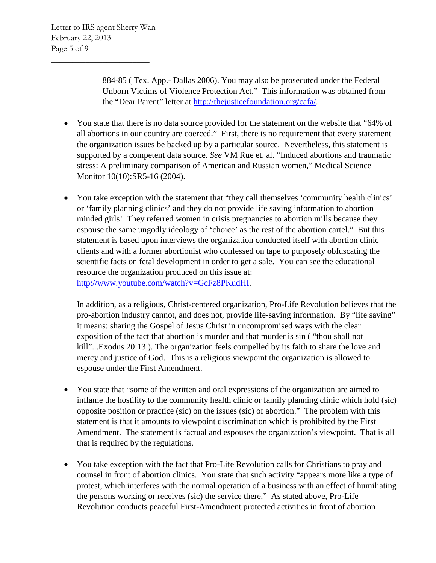884-85 ( Tex. App.- Dallas 2006). You may also be prosecuted under the Federal Unborn Victims of Violence Protection Act." This information was obtained from the "Dear Parent" letter at [http://thejusticefoundation.org/cafa/.](http://thejusticefoundation.org/cafa/)

- You state that there is no data source provided for the statement on the website that "64% of all abortions in our country are coerced." First, there is no requirement that every statement the organization issues be backed up by a particular source. Nevertheless, this statement is supported by a competent data source. *See* VM Rue et. al. "Induced abortions and traumatic stress: A preliminary comparison of American and Russian women," Medical Science Monitor 10(10):SR5-16 (2004).
- You take exception with the statement that "they call themselves 'community health clinics' or 'family planning clinics' and they do not provide life saving information to abortion minded girls! They referred women in crisis pregnancies to abortion mills because they espouse the same ungodly ideology of 'choice' as the rest of the abortion cartel." But this statement is based upon interviews the organization conducted itself with abortion clinic clients and with a former abortionist who confessed on tape to purposely obfuscating the scientific facts on fetal development in order to get a sale. You can see the educational resource the organization produced on this issue at: [http://www.youtube.com/watch?v=GcFz8PKudHI.](http://www.youtube.com/watch?v=GcFz8PKudHI)

In addition, as a religious, Christ-centered organization, Pro-Life Revolution believes that the pro-abortion industry cannot, and does not, provide life-saving information. By "life saving" it means: sharing the Gospel of Jesus Christ in uncompromised ways with the clear exposition of the fact that abortion is murder and that murder is sin ( "thou shall not kill"...Exodus 20:13 ). The organization feels compelled by its faith to share the love and mercy and justice of God. This is a religious viewpoint the organization is allowed to espouse under the First Amendment.

- You state that "some of the written and oral expressions of the organization are aimed to inflame the hostility to the community health clinic or family planning clinic which hold (sic) opposite position or practice (sic) on the issues (sic) of abortion." The problem with this statement is that it amounts to viewpoint discrimination which is prohibited by the First Amendment. The statement is factual and espouses the organization's viewpoint. That is all that is required by the regulations.
- You take exception with the fact that Pro-Life Revolution calls for Christians to pray and counsel in front of abortion clinics. You state that such activity "appears more like a type of protest, which interferes with the normal operation of a business with an effect of humiliating the persons working or receives (sic) the service there." As stated above, Pro-Life Revolution conducts peaceful First-Amendment protected activities in front of abortion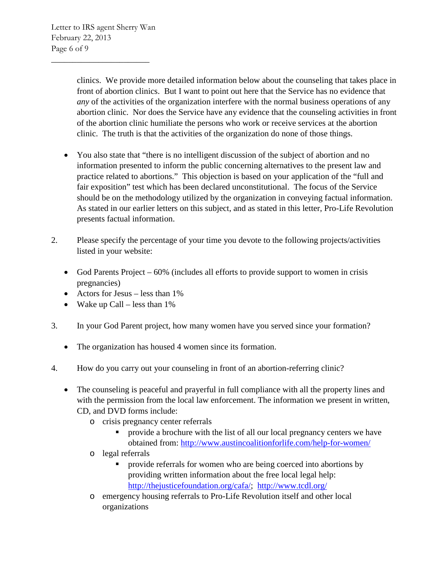clinics. We provide more detailed information below about the counseling that takes place in front of abortion clinics. But I want to point out here that the Service has no evidence that *any* of the activities of the organization interfere with the normal business operations of any abortion clinic. Nor does the Service have any evidence that the counseling activities in front of the abortion clinic humiliate the persons who work or receive services at the abortion clinic. The truth is that the activities of the organization do none of those things.

- You also state that "there is no intelligent discussion of the subject of abortion and no information presented to inform the public concerning alternatives to the present law and practice related to abortions." This objection is based on your application of the "full and fair exposition" test which has been declared unconstitutional. The focus of the Service should be on the methodology utilized by the organization in conveying factual information. As stated in our earlier letters on this subject, and as stated in this letter, Pro-Life Revolution presents factual information.
- 2. Please specify the percentage of your time you devote to the following projects/activities listed in your website:
	- God Parents Project 60% (includes all efforts to provide support to women in crisis pregnancies)
	- Actors for Jesus less than 1%
	- Wake up Call less than  $1\%$
- 3. In your God Parent project, how many women have you served since your formation?
	- The organization has housed 4 women since its formation.
- 4. How do you carry out your counseling in front of an abortion-referring clinic?
	- The counseling is peaceful and prayerful in full compliance with all the property lines and with the permission from the local law enforcement. The information we present in written, CD, and DVD forms include:
		- o crisis pregnancy center referrals
			- **Perovide a brochure with the list of all our local pregnancy centers we have** obtained from: <http://www.austincoalitionforlife.com/help-for-women/>
		- o legal referrals
			- provide referrals for women who are being coerced into abortions by providing written information about the free local legal help: [http://thejusticefoundation.org/cafa/;](http://thejusticefoundation.org/cafa/) <http://www.tcdl.org/>
		- o emergency housing referrals to Pro-Life Revolution itself and other local organizations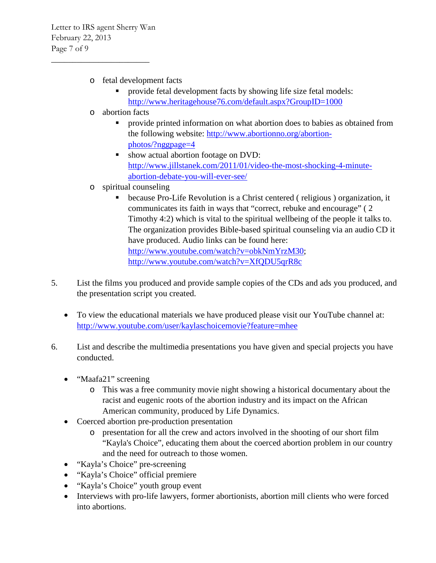- o fetal development facts
	- provide fetal development facts by showing life size fetal models: <http://www.heritagehouse76.com/default.aspx?GroupID=1000>
- o abortion facts
	- provide printed information on what abortion does to babies as obtained from the following website: [http://www.abortionno.org/abortion](http://www.abortionno.org/abortion-photos/?nggpage=4)[photos/?nggpage=4](http://www.abortionno.org/abortion-photos/?nggpage=4)
	- show actual abortion footage on DVD: [http://www.jillstanek.com/2011/01/video-the-most-shocking-4-minute](http://www.jillstanek.com/2011/01/video-the-most-shocking-4-minute-abortion-debate-you-will-ever-see/)[abortion-debate-you-will-ever-see/](http://www.jillstanek.com/2011/01/video-the-most-shocking-4-minute-abortion-debate-you-will-ever-see/)
- o spiritual counseling
	- because Pro-Life Revolution is a Christ centered ( religious ) organization, it communicates its faith in ways that "correct, rebuke and encourage" ( 2 Timothy 4:2) which is vital to the spiritual wellbeing of the people it talks to. The organization provides Bible-based spiritual counseling via an audio CD it have produced. Audio links can be found here: [http://www.youtube.com/watch?v=obkNmYrzM30;](http://www.youtube.com/watch?v=obkNmYrzM30) <http://www.youtube.com/watch?v=XfQDU5qrR8c>
- 5. List the films you produced and provide sample copies of the CDs and ads you produced, and the presentation script you created.
	- To view the educational materials we have produced please visit our YouTube channel at: <http://www.youtube.com/user/kaylaschoicemovie?feature=mhee>
- 6. List and describe the multimedia presentations you have given and special projects you have conducted.
	- "Maafa21" screening
		- o This was a free community movie night showing a historical documentary about the racist and eugenic roots of the abortion industry and its impact on the African American community, produced by Life Dynamics.
	- Coerced abortion pre-production presentation
		- o presentation for all the crew and actors involved in the shooting of our short film "Kayla's Choice", educating them about the coerced abortion problem in our country and the need for outreach to those women.
	- "Kayla's Choice" pre-screening
	- "Kayla's Choice" official premiere
	- "Kayla's Choice" youth group event
	- Interviews with pro-life lawyers, former abortionists, abortion mill clients who were forced into abortions.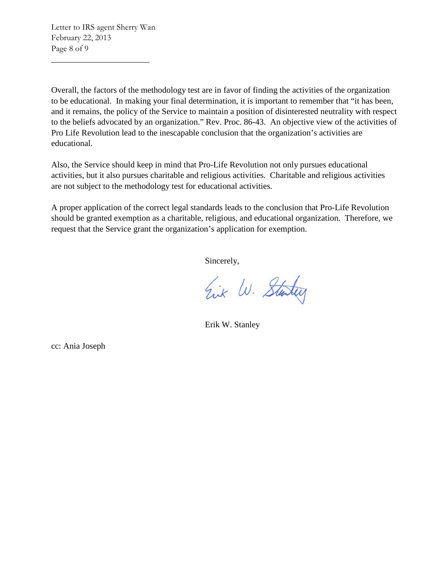Overall, the factors of the methodology test are in favor of finding the activities of the organization to be educational. In making your final determination, it is important to remember that "it has been, and it remains, the policy of the Service to maintain a position of disinterested neutrality with respect to the beliefs advocated by an organization." Rev. Proc. 86-43. An objective view of the activities of Pro Life Revolution lead to the inescapable conclusion that the organization's activities are educational.

Also, the Service should keep in mind that Pro-Life Revolution not only pursues educational activities, but it also pursues charitable and religious activities. Charitable and religious activities are not subject to the methodology test for educational activities.

A proper application of the correct legal standards leads to the conclusion that Pro-Life Revolution should be granted exemption as a charitable, religious, and educational organization. Therefore, we request that the Service grant the organization's application for exemption.

Sincerely,

Eix W. Starting

Erik W. Stanley

cc: Ania Joseph